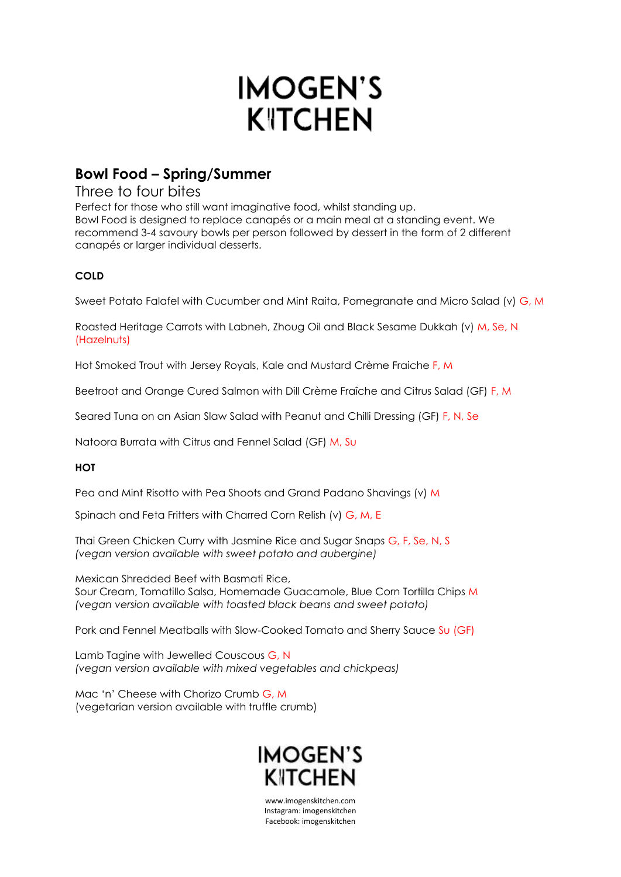# **IMOGEN'S KITCHEN**

## **Bowl Food – Spring/Summer**

### Three to four bites

Perfect for those who still want imaginative food, whilst standing up. Bowl Food is designed to replace canapés or a main meal at a standing event. We recommend 3-4 savoury bowls per person followed by dessert in the form of 2 different canapés or larger individual desserts.

#### **COLD**

Sweet Potato Falafel with Cucumber and Mint Raita, Pomegranate and Micro Salad (v) G, M

Roasted Heritage Carrots with Labneh, Zhoug Oil and Black Sesame Dukkah (v) M, Se, N (Hazelnuts)

Hot Smoked Trout with Jersey Royals, Kale and Mustard Crème Fraiche F, M

Beetroot and Orange Cured Salmon with Dill Crème Fraîche and Citrus Salad (GF) F, M

Seared Tuna on an Asian Slaw Salad with Peanut and Chilli Dressing (GF) F, N, Se

Natoora Burrata with Citrus and Fennel Salad (GF) M, Su

#### **HOT**

Pea and Mint Risotto with Pea Shoots and Grand Padano Shavings (v) M

Spinach and Feta Fritters with Charred Corn Relish (v) G, M, E

Thai Green Chicken Curry with Jasmine Rice and Sugar Snaps G, F, Se, N, S *(vegan version available with sweet potato and aubergine)*

Mexican Shredded Beef with Basmati Rice, Sour Cream, Tomatillo Salsa, Homemade Guacamole, Blue Corn Tortilla Chips M *(vegan version available with toasted black beans and sweet potato)*

Pork and Fennel Meatballs with Slow-Cooked Tomato and Sherry Sauce Su (GF)

Lamb Tagine with Jewelled Couscous G, N *(vegan version available with mixed vegetables and chickpeas)*

Mac 'n' Cheese with Chorizo Crumb G, M (vegetarian version available with truffle crumb)



www.imogenskitchen.com Instagram: imogenskitchen Facebook: imogenskitchen